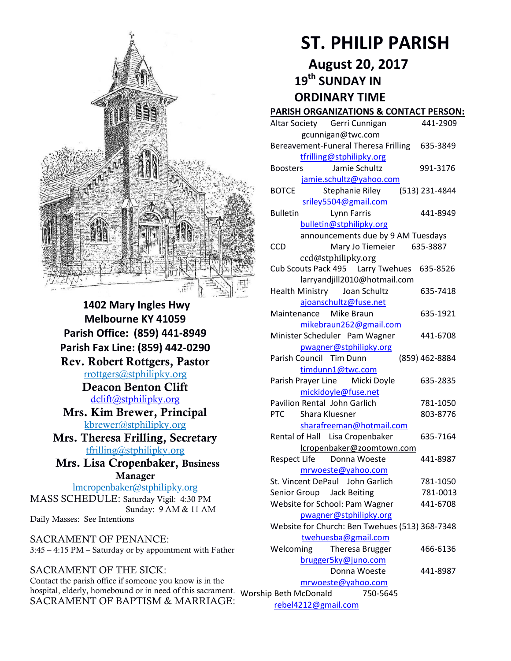

**1402 Mary Ingles Hwy Melbourne KY 41059 Parish Office: (859) 441-8949 Parish Fax Line: (859) 442-0290 Rev. Robert Rottgers, Pastor**  [rrottgers@stphilipky.org](mailto:rrottgers@stphilipky.org) **Deacon Benton Clift**  [dclift@stphilipky.org](mailto:dclift@stphilipky.org) **Mrs. Kim Brewer, Principal**  [kbrewer@stphilipky.org](mailto:kbrewer@stphilipky.org) **Mrs. Theresa Frilling, Secretary**  [tfrilling@stphilipky.org](mailto:tfrilling@stphilipky.org) **Mrs. Lisa Cropenbaker, Business Manager**  lmcropenbaker@stphilipky.org MASS SCHEDULE: Saturday Vigil: 4:30 PM Sunday: 9 AM & 11 AM Daily Masses: See Intentions

SACRAMENT OF PENANCE: 3:45 – 4:15 PM – Saturday or by appointment with Father

SACRAMENT OF THE SICK: Contact the parish office if someone you know is in the hospital, elderly, homebound or in need of this sacrament. Worship Beth McDonald 750-5645 SACRAMENT OF BAPTISM & MARRIAGE:

# **ST. PHILIP PARISH**

**August 20, 2017** 

 **19th SUNDAY IN** 

 **ORDINARY TIME** 

#### **PARISH ORGANIZATIONS & CONTACT PERSON:**

| Altar Society Gerri Cunnigan                   | 441-2909       |
|------------------------------------------------|----------------|
| gcunnigan@twc.com                              |                |
| Bereavement-Funeral Theresa Frilling 635-3849  |                |
| tfrilling@stphilipky.org                       |                |
| Jamie Schultz<br><b>Boosters</b>               | 991-3176       |
| jamie.schultz@yahoo.com                        |                |
| <b>BOTCE</b><br><b>Stephanie Riley</b>         | (513) 231-4844 |
| sriley5504@gmail.com                           |                |
| <b>Bulletin</b><br>Lynn Farris                 | 441-8949       |
| bulletin@stphilipky.org                        |                |
| announcements due by 9 AM Tuesdays             |                |
| <b>CCD</b><br>Mary Jo Tiemeier 635-3887        |                |
| ccd@stphilipky.org                             |                |
| Cub Scouts Pack 495   Larry Twehues            | 635-8526       |
| larryandjill2010@hotmail.com                   |                |
| Health Ministry Joan Schultz                   | 635-7418       |
| ajoanschultz@fuse.net                          |                |
| Maintenance Mike Braun                         | 635-1921       |
| mikebraun262@gmail.com                         |                |
| Minister Scheduler Pam Wagner                  | 441-6708       |
| pwagner@stphilipky.org                         |                |
| Parish Council Tim Dunn                        | (859) 462-8884 |
| timdunn1@twc.com                               |                |
| Parish Prayer Line Micki Doyle                 | 635-2835       |
| mickidoyle@fuse.net                            |                |
| Pavilion Rental John Garlich                   | 781-1050       |
| <b>PTC</b><br>Shara Kluesner                   | 803-8776       |
| sharafreeman@hotmail.com                       |                |
| Rental of Hall Lisa Cropenbaker                | 635-7164       |
| lcropenbaker@zoomtown.com                      |                |
| Respect Life Donna Woeste                      | 441-8987       |
| mrwoeste@yahoo.com                             |                |
| St. Vincent DePaul John Garlich                | 781-1050       |
| Senior Group Jack Beiting                      | 781-0013       |
| Website for School: Pam Wagner                 | 441-6708       |
| pwagner@stphilipky.org                         |                |
| Website for Church: Ben Twehues (513) 368-7348 |                |
| twehuesba@gmail.com                            |                |
| Welcoming<br>Theresa Brugger                   | 466-6136       |
| brugger5ky@juno.com                            |                |
| Donna Woeste                                   | 441-8987       |
| mrwoeste@yahoo.com                             |                |
| 750-5645<br>p Beth McDonald                    |                |
|                                                |                |

[rebel4212@gmail.com](mailto:trebel4212@gmail.com)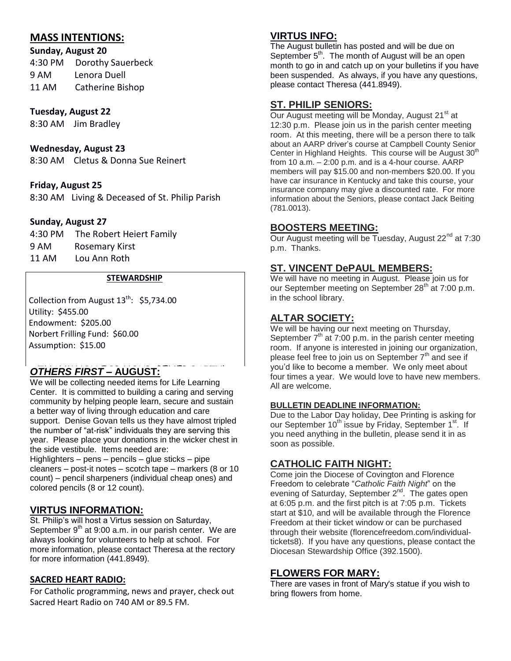# **MASS INTENTIONS:**

# **Sunday, August 20**

4:30 PM Dorothy Sauerbeck 9 AM Lenora Duell 11 AM Catherine Bishop

## **Tuesday, August 22**

8:30 AM Jim Bradley

# **Wednesday, August 23**

8:30 AM Cletus & Donna Sue Reinert

## **Friday, August 25**

8:30 AM Living & Deceased of St. Philip Parish

#### **Sunday, August 27**

| 4:30 PM | The Robert Heiert Family |
|---------|--------------------------|
| 9 AM    | Rosemary Kirst           |
| 11 AM   | Lou Ann Roth             |

#### **STEWARDSHIP**

Collection from August  $13^{th}$ : \$5,734.00 Utility: \$455.00 Endowment: \$205.00 Norbert Frilling Fund: \$60.00 Assumption: \$15.00

# **OTHERS FIRST – AUGUST:**

We will be collecting needed items for Life Learning Center. It is committed to building a caring and serving community by helping people learn, secure and sustain a better way of living through education and care support. Denise Govan tells us they have almost tripled the number of "at-risk" individuals they are serving this year. Please place your donations in the wicker chest in the side vestibule. Items needed are:

Highlighters – pens – pencils – glue sticks – pipe cleaners – post-it notes – scotch tape – markers (8 or 10 count) – pencil sharpeners (individual cheap ones) and colored pencils (8 or 12 count).

# **VIRTUS INFORMATION:**

St. Philip's will host a Virtus session on Saturday, September  $9<sup>th</sup>$  at 9:00 a.m. in our parish center. We are always looking for volunteers to help at school. For more information, please contact Theresa at the rectory for more information (441.8949).

#### **SACRED HEART RADIO:**

For Catholic programming, news and prayer, check out Sacred Heart Radio on 740 AM or 89.5 FM.

# **VIRTUS INFO:**

The August bulletin has posted and will be due on September  $5<sup>th</sup>$ . The month of August will be an open month to go in and catch up on your bulletins if you have been suspended. As always, if you have any questions, please contact Theresa (441.8949).

# **ST. PHILIP SENIORS:**

Our August meeting will be Monday, August 21<sup>st</sup> at 12:30 p.m. Please join us in the parish center meeting room. At this meeting, there will be a person there to talk about an AARP driver's course at Campbell County Senior Center in Highland Heights. This course will be August 30<sup>th</sup> from 10 a.m. – 2:00 p.m. and is a 4-hour course. AARP members will pay \$15.00 and non-members \$20.00. If you have car insurance in Kentucky and take this course, your insurance company may give a discounted rate. For more information about the Seniors, please contact Jack Beiting (781.0013).

## **BOOSTERS MEETING:**

Our August meeting will be Tuesday, August 22<sup>nd</sup> at 7:30 p.m. Thanks.

# **ST. VINCENT DePAUL MEMBERS:**

We will have no meeting in August. Please join us for our September meeting on September 28<sup>th</sup> at 7:00 p.m. in the school library.

# **ALTAR SOCIETY:**

We will be having our next meeting on Thursday, September  $7<sup>th</sup>$  at 7:00 p.m. in the parish center meeting room. If anyone is interested in joining our organization, please feel free to join us on September 7<sup>th</sup> and see if you'd like to become a member. We only meet about four times a year. We would love to have new members. All are welcome.

#### **BULLETIN DEADLINE INFORMATION:**

Due to the Labor Day holiday, Dee Printing is asking for our September 10<sup>th</sup> issue by Friday, September 1<sup>st</sup>. If you need anything in the bulletin, please send it in as soon as possible.

# **CATHOLIC FAITH NIGHT:**

Come join the Diocese of Covington and Florence Freedom to celebrate "*Catholic Faith Night*" on the evening of Saturday, September 2<sup>nd</sup>. The gates open at 6:05 p.m. and the first pitch is at 7:05 p.m. Tickets start at \$10, and will be available through the Florence Freedom at their ticket window or can be purchased through their website (florencefreedom.com/individualtickets8). If you have any questions, please contact the Diocesan Stewardship Office (392.1500).

# **FLOWERS FOR MARY:**

There are vases in front of Mary's statue if you wish to bring flowers from home.